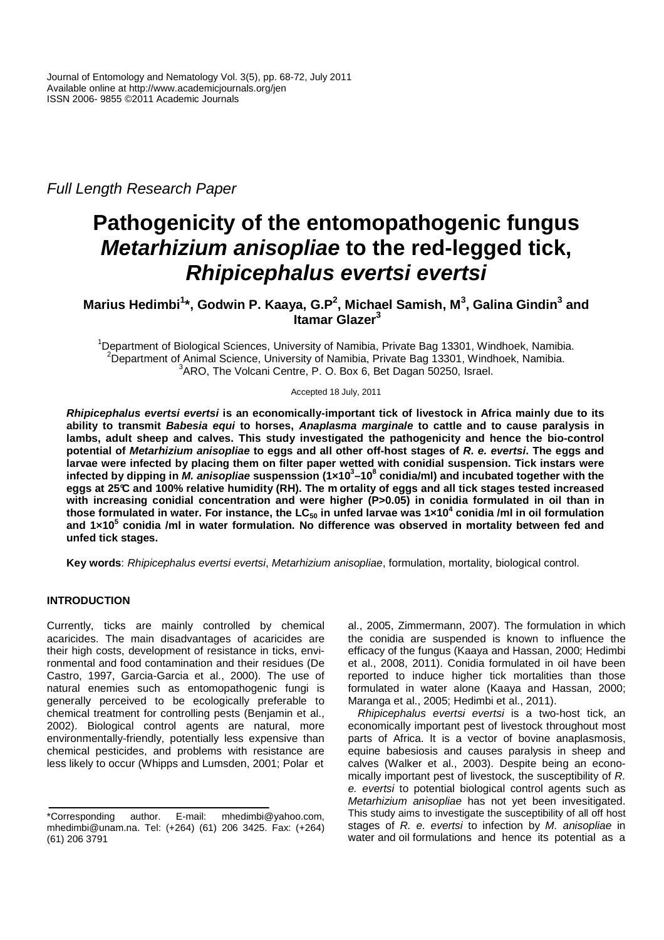Full Length Research Paper

# **Pathogenicity of the entomopathogenic fungus Metarhizium anisopliae to the red-legged tick, Rhipicephalus evertsi evertsi**

## **Marius Hedimbi<sup>1</sup> \*, Godwin P. Kaaya, G.P<sup>2</sup> , Michael Samish, M<sup>3</sup> , Galina Gindin<sup>3</sup> and Itamar Glazer<sup>3</sup>**

<sup>1</sup>Department of Biological Sciences, University of Namibia, Private Bag 13301, Windhoek, Namibia. <sup>2</sup>Department of Animal Science, University of Namibia, Private Bag 13301, Windhoek, Namibia. 3 ARO, The Volcani Centre, P. O. Box 6, Bet Dagan 50250, Israel.

Accepted 18 July, 2011

**Rhipicephalus evertsi evertsi is an economically-important tick of livestock in Africa mainly due to its ability to transmit Babesia equi to horses, Anaplasma marginale to cattle and to cause paralysis in lambs, adult sheep and calves. This study investigated the pathogenicity and hence the bio-control potential of Metarhizium anisopliae to eggs and all other off-host stages of R. e. evertsi. The eggs and larvae were infected by placing them on filter paper wetted with conidial suspension. Tick instars were infected by dipping in M. anisopliae suspenssion (1×10<sup>3</sup> –10<sup>8</sup> conidia/ml) and incubated together with the eggs at 25°C and 100% relative humidity (RH). The m ortality of eggs and all tick stages tested increased**  with increasing conidial concentration and were higher (P>0.05) in conidia formulated in oil than in **those formulated in water. For instance, the LC50 in unfed larvae was 1×10<sup>4</sup> conidia /ml in oil formulation and 1×10<sup>5</sup> conidia /ml in water formulation. No difference was observed in mortality between fed and unfed tick stages.** 

**Key words**: Rhipicephalus evertsi evertsi, Metarhizium anisopliae, formulation, mortality, biological control.

## **INTRODUCTION**

Currently, ticks are mainly controlled by chemical acaricides. The main disadvantages of acaricides are their high costs, development of resistance in ticks, environmental and food contamination and their residues (De Castro, 1997, Garcia-Garcia et al., 2000). The use of natural enemies such as entomopathogenic fungi is generally perceived to be ecologically preferable to chemical treatment for controlling pests (Benjamin et al., 2002). Biological control agents are natural, more environmentally-friendly, potentially less expensive than chemical pesticides, and problems with resistance are less likely to occur (Whipps and Lumsden, 2001; Polar et

al., 2005, Zimmermann, 2007). The formulation in which the conidia are suspended is known to influence the efficacy of the fungus (Kaaya and Hassan, 2000; Hedimbi et al., 2008, 2011). Conidia formulated in oil have been reported to induce higher tick mortalities than those formulated in water alone (Kaaya and Hassan, 2000; Maranga et al., 2005; Hedimbi et al., 2011).

Rhipicephalus evertsi evertsi is a two-host tick, an economically important pest of livestock throughout most parts of Africa. It is a vector of bovine anaplasmosis, equine babesiosis and causes paralysis in sheep and calves (Walker et al., 2003). Despite being an economically important pest of livestock, the susceptibility of R. e. evertsi to potential biological control agents such as Metarhizium anisopliae has not yet been invesitigated. This study aims to investigate the susceptibility of all off host stages of R. e. evertsi to infection by M. anisopliae in water and oil formulations and hence its potential as a

<sup>\*</sup>Corresponding author. E-mail: mhedimbi@yahoo.com, mhedimbi@unam.na. Tel: (+264) (61) 206 3425. Fax: (+264) (61) 206 3791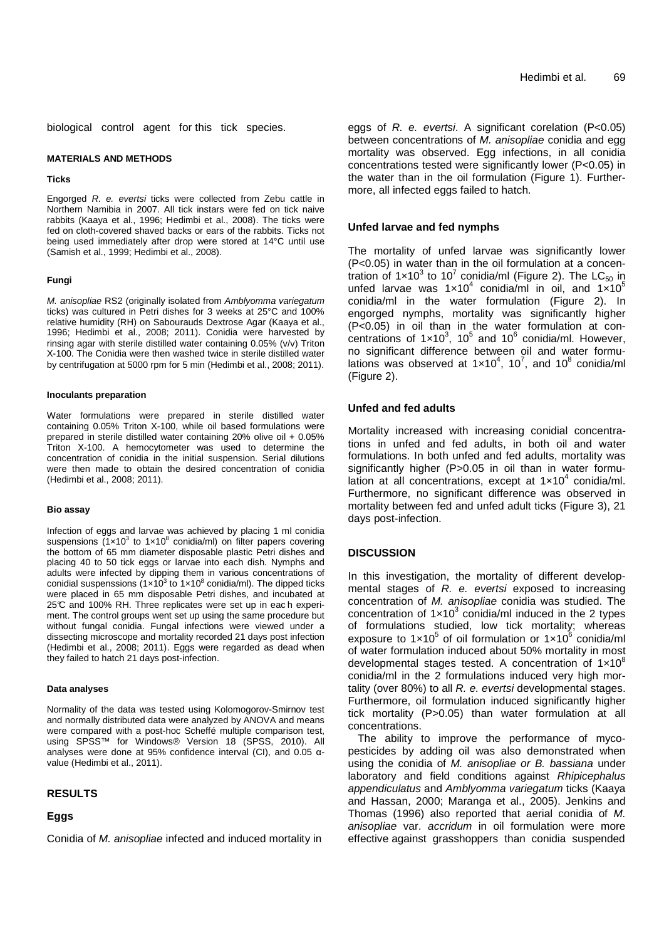biological control agent for this tick species.

#### **MATERIALS AND METHODS**

#### **Ticks**

Engorged R. e. evertsi ticks were collected from Zebu cattle in Northern Namibia in 2007. All tick instars were fed on tick naive rabbits (Kaaya et al., 1996; Hedimbi et al., 2008). The ticks were fed on cloth-covered shaved backs or ears of the rabbits. Ticks not being used immediately after drop were stored at 14°C until use (Samish et al., 1999; Hedimbi et al., 2008).

#### **Fungi**

M. anisopliae RS2 (originally isolated from Amblyomma variegatum ticks) was cultured in Petri dishes for 3 weeks at 25°C and 100% relative humidity (RH) on Sabourauds Dextrose Agar (Kaaya et al., 1996; Hedimbi et al., 2008; 2011). Conidia were harvested by rinsing agar with sterile distilled water containing 0.05% (v/v) Triton X-100. The Conidia were then washed twice in sterile distilled water by centrifugation at 5000 rpm for 5 min (Hedimbi et al., 2008; 2011).

### **Inoculants preparation**

Water formulations were prepared in sterile distilled water containing 0.05% Triton X-100, while oil based formulations were prepared in sterile distilled water containing 20% olive oil + 0.05% Triton X-100. A hemocytometer was used to determine the concentration of conidia in the initial suspension. Serial dilutions were then made to obtain the desired concentration of conidia (Hedimbi et al., 2008; 2011).

#### **Bio assay**

Infection of eggs and larvae was achieved by placing 1 ml conidia suspensions  $(1 \times 10^3$  to  $1 \times 10^8$  conidia/ml) on filter papers covering the bottom of 65 mm diameter disposable plastic Petri dishes and placing 40 to 50 tick eggs or larvae into each dish. Nymphs and adults were infected by dipping them in various concentrations of conidial suspenssions  $(1 \times 10^3$  to  $1 \times 10^8$  conidia/ml). The dipped ticks were placed in 65 mm disposable Petri dishes, and incubated at 25°C and 100% RH. Three replicates were set up in each experiment. The control groups went set up using the same procedure but without fungal conidia. Fungal infections were viewed under a dissecting microscope and mortality recorded 21 days post infection (Hedimbi et al., 2008; 2011). Eggs were regarded as dead when they failed to hatch 21 days post-infection.

## **Data analyses**

Normality of the data was tested using Kolomogorov-Smirnov test and normally distributed data were analyzed by ANOVA and means were compared with a post-hoc Scheffé multiple comparison test, using SPSS™ for Windows® Version 18 (SPSS, 2010). All analyses were done at 95% confidence interval (CI), and 0.05 αvalue (Hedimbi et al., 2011).

## **RESULTS**

## **Eggs**

Conidia of M. anisopliae infected and induced mortality in

eggs of R. e. evertsi. A significant corelation (P<0.05) between concentrations of M. anisopliae conidia and egg mortality was observed. Egg infections, in all conidia concentrations tested were significantly lower (P<0.05) in the water than in the oil formulation (Figure 1). Furthermore, all infected eggs failed to hatch.

## **Unfed larvae and fed nymphs**

The mortality of unfed larvae was significantly lower (P<0.05) in water than in the oil formulation at a concentration of 1×10<sup>3</sup> to 10<sup>7</sup> conidia/ml (Figure 2). The LC<sub>50</sub> in unfed larvae was  $1 \times 10^4$  conidia/ml in oil, and  $1 \times 10^5$ conidia/ml in the water formulation (Figure 2). In engorged nymphs, mortality was significantly higher (P<0.05) in oil than in the water formulation at concentrations of  $1 \times 10^3$ ,  $10^5$  and  $10^6$  conidia/ml. However, no significant difference between oil and water formulations was observed at  $1 \times 10^4$ ,  $10^7$ , and  $10^8$  conidia/ml (Figure 2).

## **Unfed and fed adults**

Mortality increased with increasing conidial concentrations in unfed and fed adults, in both oil and water formulations. In both unfed and fed adults, mortality was significantly higher (P>0.05 in oil than in water formulation at all concentrations, except at  $1 \times 10^4$  conidia/ml. Furthermore, no significant difference was observed in mortality between fed and unfed adult ticks (Figure 3), 21 days post-infection.

## **DISCUSSION**

In this investigation, the mortality of different developmental stages of R. e. evertsi exposed to increasing concentration of M. anisopliae conidia was studied. The concentration of  $1 \times 10^3$  conidia/ml induced in the 2 types of formulations studied, low tick mortality; whereas exposure to  $1 \times 10^5$  of oil formulation or  $1 \times 10^6$  conidia/ml of water formulation induced about 50% mortality in most developmental stages tested. A concentration of  $1 \times 10^8$ conidia/ml in the 2 formulations induced very high mortality (over 80%) to all  $R$ . e. evertsi developmental stages. Furthermore, oil formulation induced significantly higher tick mortality (P>0.05) than water formulation at all concentrations.

The ability to improve the performance of mycopesticides by adding oil was also demonstrated when using the conidia of M. anisopliae or B. bassiana under laboratory and field conditions against Rhipicephalus appendiculatus and Amblyomma variegatum ticks (Kaaya and Hassan, 2000; Maranga et al., 2005). Jenkins and Thomas (1996) also reported that aerial conidia of M. anisopliae var. accridum in oil formulation were more effective against grasshoppers than conidia suspended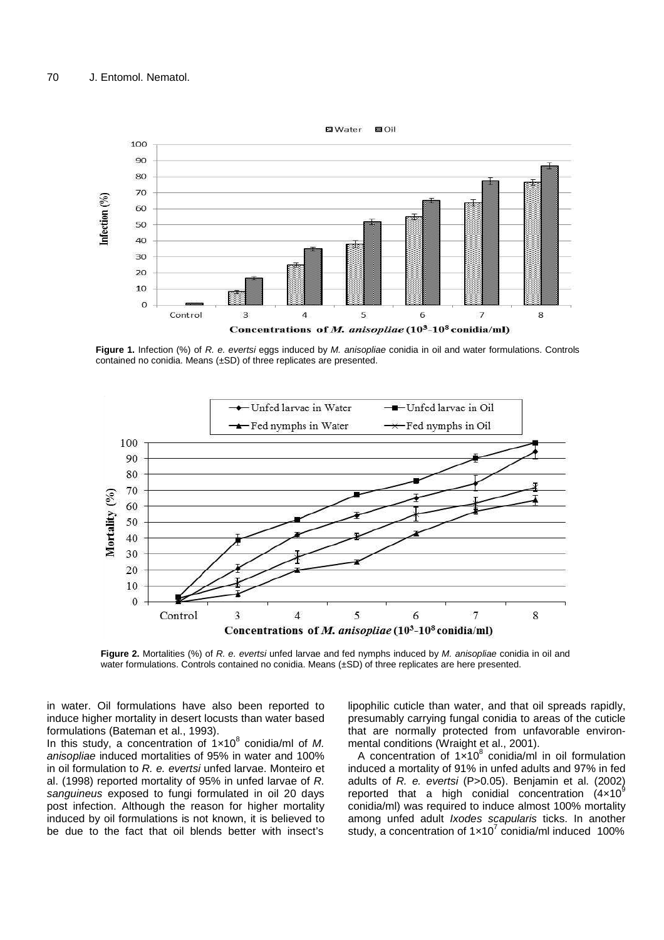

Figure 1. Infection (%) of R. e. evertsi eggs induced by M. anisopliae conidia in oil and water formulations. Controls contained no conidia. Means (±SD) of three replicates are presented.



**Figure 2.** Mortalities (%) of R. e. evertsi unfed larvae and fed nymphs induced by M. anisopliae conidia in oil and water formulations. Controls contained no conidia. Means (±SD) of three replicates are here presented.

in water. Oil formulations have also been reported to induce higher mortality in desert locusts than water based formulations (Bateman et al., 1993).

In this study, a concentration of  $1 \times 10^8$  conidia/ml of M. anisopliae induced mortalities of 95% in water and 100% in oil formulation to  $R$ . e. evertsi unfed larvae. Monteiro et al. (1998) reported mortality of 95% in unfed larvae of R. sanguineus exposed to fungi formulated in oil 20 days post infection. Although the reason for higher mortality induced by oil formulations is not known, it is believed to be due to the fact that oil blends better with insect's

lipophilic cuticle than water, and that oil spreads rapidly, presumably carrying fungal conidia to areas of the cuticle that are normally protected from unfavorable environmental conditions (Wraight et al., 2001).

A concentration of  $1 \times 10^8$  conidia/ml in oil formulation induced a mortality of 91% in unfed adults and 97% in fed adults of R. e. evertsi (P>0.05). Benjamin et al. (2002) reported that a high conidial concentration  $(4 \times 10^9)$ conidia/ml) was required to induce almost 100% mortality among unfed adult *Ixodes scapularis* ticks. In another study, a concentration of  $1 \times 10^7$  conidia/ml induced 100%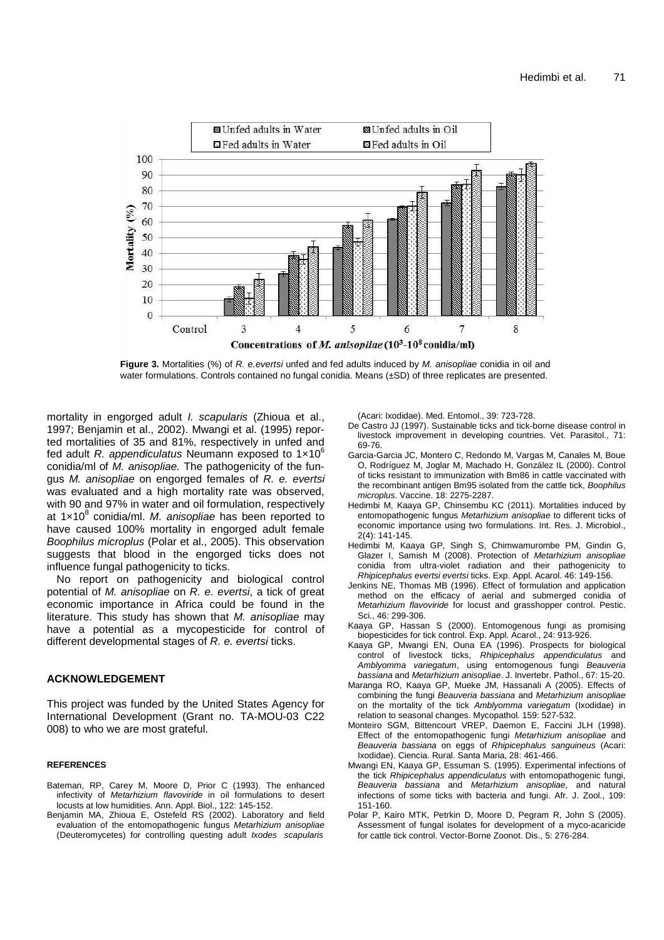

**Figure 3.** Mortalities (%) of R. e. evertsi unfed and fed adults induced by M. anisopliae conidia in oil and water formulations. Controls contained no fungal conidia. Means (±SD) of three replicates are presented.

mortality in engorged adult *I. scapularis* (Zhioua et al., 1997; Benjamin et al., 2002). Mwangi et al. (1995) reported mortalities of 35 and 81%, respectively in unfed and fed adult R. appendiculatus Neumann exposed to  $1\times10^{6}$ conidia/ml of M. anisopliae. The pathogenicity of the fungus M. anisopliae on engorged females of R. e. evertsi was evaluated and a high mortality rate was observed, with 90 and 97% in water and oil formulation, respectively at 1x10<sup>8</sup> conidia/ml. M. anisopliae has been reported to have caused 100% mortality in engorged adult female Boophilus microplus (Polar et al., 2005). This observation suggests that blood in the engorged ticks does not influence fungal pathogenicity to ticks.

No report on pathogenicity and biological control potential of M. anisopliae on R. e. evertsi, a tick of great economic importance in Africa could be found in the literature. This study has shown that M. anisopliae may have a potential as a mycopesticide for control of different developmental stages of R. e. evertsi ticks.

## **ACKNOWLEDGEMENT**

This project was funded by the United States Agency for International Development (Grant no. TA-MOU-03 C22 008) to who we are most grateful.

## **REFERENCES**

- Bateman, RP, Carey M, Moore D, Prior C (1993). The enhanced infectivity of Metarhizium flavoviride in oil formulations to desert locusts at low humidities. Ann. Appl. Biol., 122: 145-152.
- Benjamin MA, Zhioua E, Ostefeld RS (2002). Laboratory and field evaluation of the entomopathogenic fungus Metarhizium anisopliae (Deuteromycetes) for controlling questing adult Ixodes scapularis

(Acari: Ixodidae). Med. Entomol., 39: 723-728.

- De Castro JJ (1997). Sustainable ticks and tick-borne disease control in livestock improvement in developing countries. Vet. Parasitol., 71: 69-76.
- Garcia-Garcia JC, Montero C, Redondo M, Vargas M, Canales M, Boue O, Rodríguez M, Joglar M, Machado H, González IL (2000). Control of ticks resistant to immunization with Bm86 in cattle vaccinated with the recombinant antigen Bm95 isolated from the cattle tick, Boophilus microplus. Vaccine. 18: 2275-2287.
- Hedimbi M, Kaaya GP, Chinsembu KC (2011). Mortalities induced by entomopathogenic fungus Metarhizium anisopliae to different ticks of economic importance using two formulations. Int. Res. J. Microbiol., 2(4): 141-145.
- Hedimbi M, Kaaya GP, Singh S, Chimwamurombe PM, Gindin G, Glazer I, Samish M (2008). Protection of Metarhizium anisopliae conidia from ultra-violet radiation and their pathogenicity to Rhipicephalus evertsi evertsi ticks. Exp. Appl. Acarol. 46: 149-156.
- Jenkins NE, Thomas MB (1996). Effect of formulation and application method on the efficacy of aerial and submerged conidia of Metarhizium flavoviride for locust and grasshopper control. Pestic. Sci., 46: 299-306.
- Kaaya GP, Hassan S (2000). Entomogenous fungi as promising biopesticides for tick control. Exp. Appl. Acarol., 24: 913-926.
- Kaaya GP, Mwangi EN, Ouna EA (1996). Prospects for biological control of livestock ticks, Rhipicephalus appendiculatus and Amblyomma variegatum, using entomogenous fungi Beauveria bassiana and Metarhizium anisopliae. J. Invertebr. Pathol., 67: 15-20.
- Maranga RO, Kaaya GP, Mueke JM, Hassanali A (2005). Effects of combining the fungi Beauveria bassiana and Metarhizium anisopliae on the mortality of the tick Amblyomma variegatum (Ixodidae) in relation to seasonal changes. Mycopathol. 159: 527-532.
- Monteiro SGM, Bittencourt VREP, Daemon E, Faccini JLH (1998). Effect of the entomopathogenic fungi Metarhizium anisopliae and Beauveria bassiana on eggs of Rhipicephalus sanguineus (Acari: Ixodidae). Ciencia. Rural. Santa Maria, 28: 461-466.
- Mwangi EN, Kaaya GP, Essuman S. (1995). Experimental infections of the tick Rhipicephalus appendiculatus with entomopathogenic fungi, Beauveria bassiana and Metarhizium anisopliae, and natural infections of some ticks with bacteria and fungi. Afr. J. Zool., 109: 151-160.
- Polar P, Kairo MTK, Petrkin D, Moore D, Pegram R, John S (2005). Assessment of fungal isolates for development of a myco-acaricide for cattle tick control. Vector-Borne Zoonot. Dis., 5: 276-284.